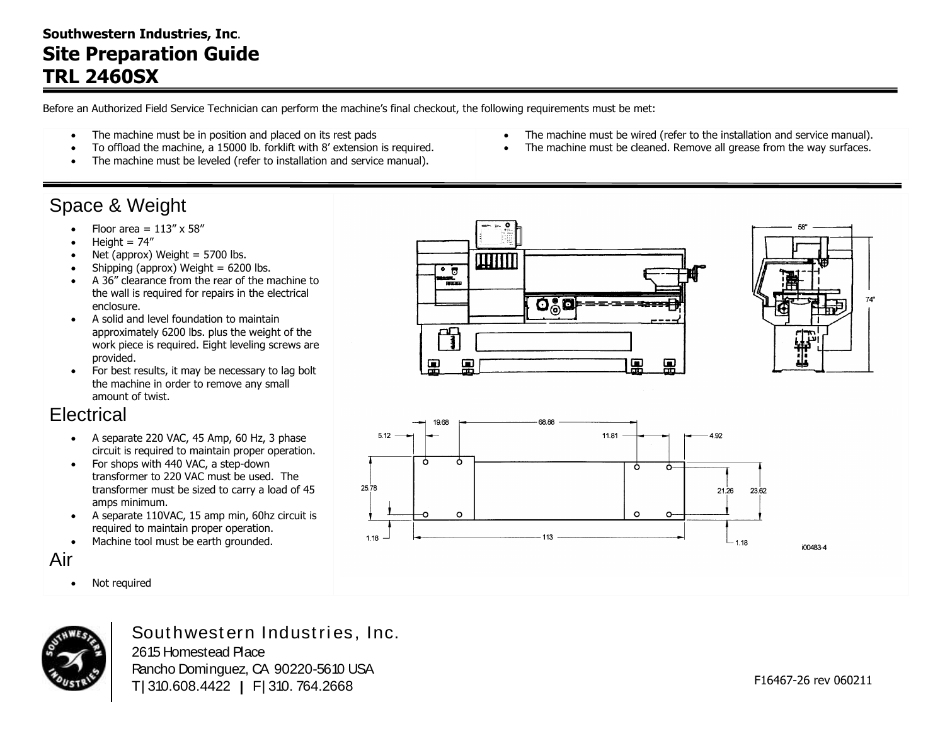### **Southwestern Industries, Inc**. **Site Preparation Guide TRL 2460SX**

Before an Authorized Field Service Technician can perform the machine's final checkout, the following requirements must be met:

- The machine must be in position and placed on its rest pads
- To offload the machine, a 15000 lb. forklift with 8' extension is required.
- The machine must be leveled (refer to installation and service manual).

## Space & Weight

- Floor area =  $113'' \times 58''$
- Height  $= 74$ "
- Net (approx) Weight  $= 5700$  lbs.
- $\bullet$  Shipping (approx) Weight = 6200 lbs.
- A 36" clearance from the rear of the machine to the wall is required for repairs in the electrical enclosure.
- A solid and level foundation to maintain approximately 6200 lbs. plus the weight of the work piece is required. Eight leveling screws are provided.
- For best results, it may be necessary to lag bolt the machine in order to remove any small amount of twist.

## **Electrical**

- $\bullet$  A separate 220 VAC, 45 Amp, 60 Hz, 3 phase circuit is required to maintain proper operation.
- For shops with 440 VAC, a step-down transformer to 220 VAC must be used. The transformer must be sized to carry a load of 45 amps minimum.
- A separate 110VAC, 15 amp min, 60hz circuit is required to maintain proper operation.
- Machine tool must be earth grounded.

#### Air

• Not required



Southwestern Industries, Inc. 2615 Homestead Place Rancho Dominguez, CA 90220-5610 USA T | 310.608.4422 **|** F | 310. 764.2668

- The machine must be wired (refer to the installation and service manual).
- The machine must be cleaned. Remove all grease from the way surfaces.





74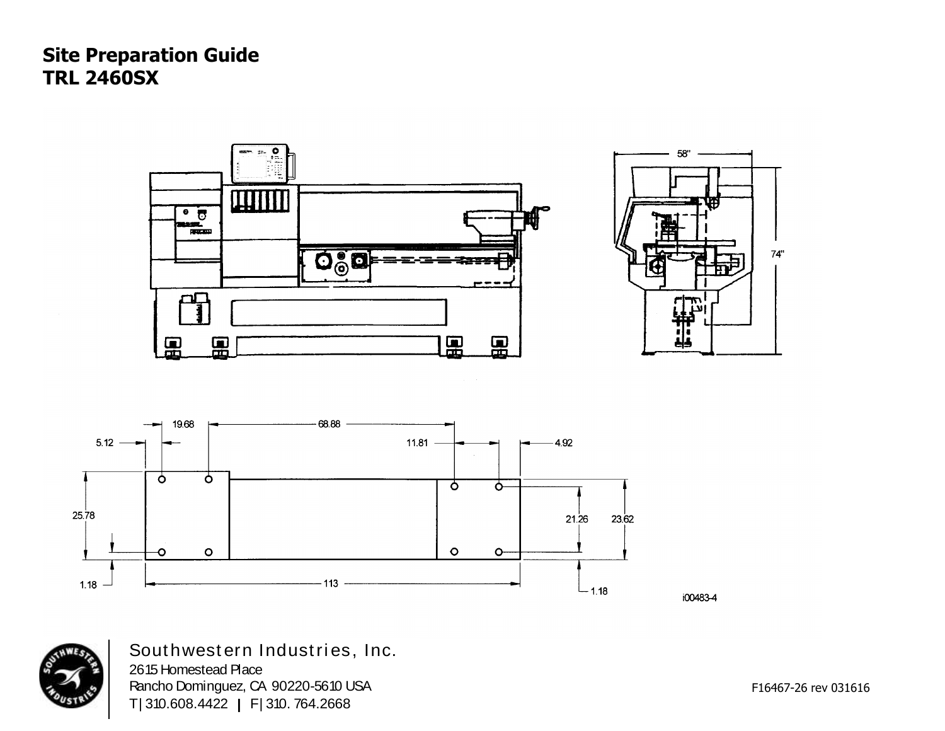# **Site Preparation Guide TRL 2460SX**





i00483-4



Southwestern Industries, Inc. 2615 Homestead Place Rancho Dominguez, CA 90220-5610 USA T | 310.608.4422 **|** F | 310. 764.2668

F16467-26 rev 031616